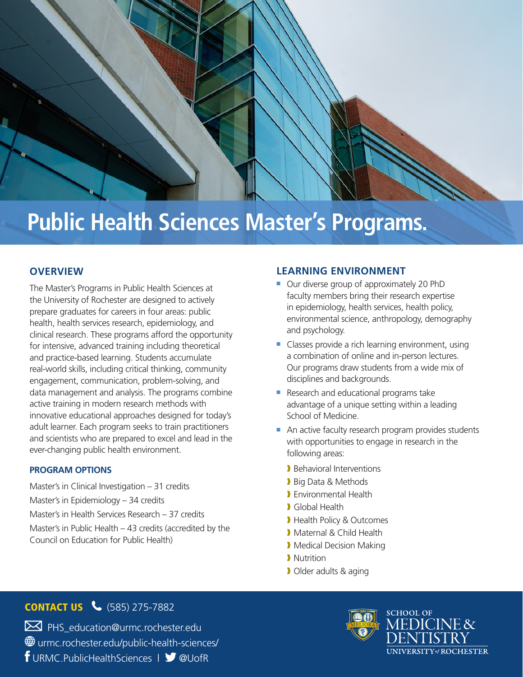# **Public Health Sciences Master's Programs.**

## **OVERVIEW**

The Master's Programs in Public Health Sciences at the University of Rochester are designed to actively prepare graduates for careers in four areas: public health, health services research, epidemiology, and clinical research. These programs afford the opportunity for intensive, advanced training including theoretical and practice-based learning. Students accumulate real-world skills, including critical thinking, community engagement, communication, problem-solving, and data management and analysis. The programs combine active training in modern research methods with innovative educational approaches designed for today's adult learner. Each program seeks to train practitioners and scientists who are prepared to excel and lead in the ever-changing public health environment.

#### **PROGRAM OPTIONS**

Master's in Clinical Investigation – 31 credits Master's in Epidemiology – 34 credits Master's in Health Services Research – 37 credits Master's in Public Health – 43 credits (accredited by the Council on Education for Public Health)

#### **LEARNING ENVIRONMENT**

- Our diverse group of approximately 20 PhD faculty members bring their research expertise in epidemiology, health services, health policy, environmental science, anthropology, demography and psychology.
- Classes provide a rich learning environment, using a combination of online and in-person lectures. Our programs draw students from a wide mix of disciplines and backgrounds.
- Research and educational programs take advantage of a unique setting within a leading School of Medicine.
- An active faculty research program provides students with opportunities to engage in research in the following areas:
	- ❱ Behavioral Interventions
	- Big Data & Methods
	- ❱ Environmental Health
	- ❱ Global Health
	- ❱ Health Policy & Outcomes
	- **Maternal & Child Health**
	- **Medical Decision Making**
	- **Nutrition**
	- ❱ Older adults & aging

## **CONTACT US & (585) 275-7882**

 $\boxtimes$  PHS education@urmc.rochester.edu urmc.rochester.edu/public-health-sciences/ f URMC.PublicHealthSciences | V @UofR